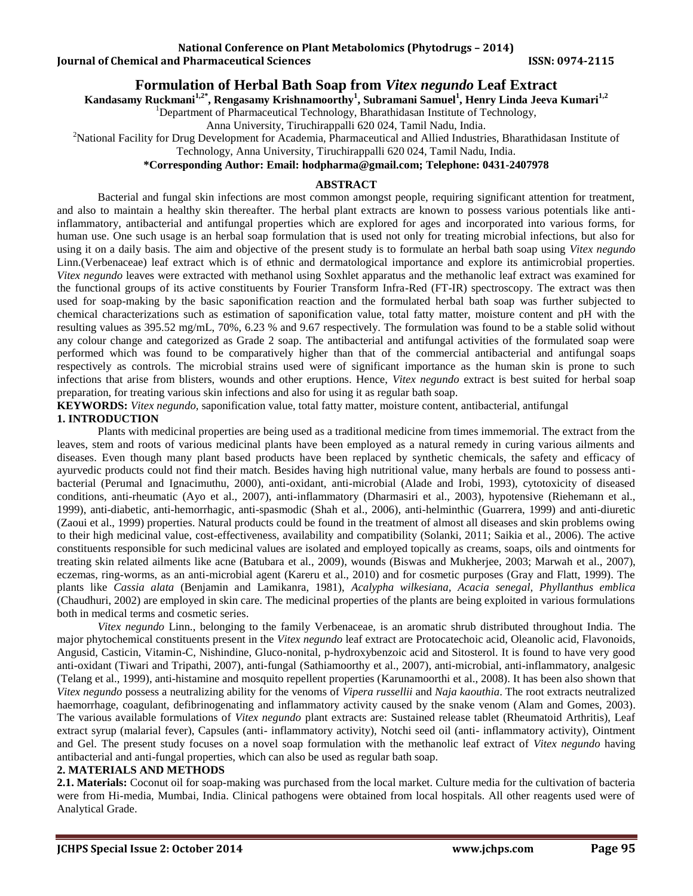**Iournal of Chemical and Pharmaceutical Sciences ISSN: 0974-2115** 

# **Formulation of Herbal Bath Soap from** *Vitex negundo* **Leaf Extract**

**Kandasamy Ruckmani1,2\*, Rengasamy Krishnamoorthy<sup>1</sup> , Subramani Samuel<sup>1</sup> , Henry Linda Jeeva Kumari1,2**

<sup>1</sup>Department of Pharmaceutical Technology, Bharathidasan Institute of Technology,

Anna University, Tiruchirappalli 620 024, Tamil Nadu, India.

<sup>2</sup>National Facility for Drug Development for Academia, Pharmaceutical and Allied Industries, Bharathidasan Institute of

Technology, Anna University, Tiruchirappalli 620 024, Tamil Nadu, India.

# **\*Corresponding Author: Email: [hodpharma@gmail.com;](mailto:hodpharma@gmail.com) Telephone: 0431-2407978**

### **ABSTRACT**

Bacterial and fungal skin infections are most common amongst people, requiring significant attention for treatment, and also to maintain a healthy skin thereafter. The herbal plant extracts are known to possess various potentials like antiinflammatory, antibacterial and antifungal properties which are explored for ages and incorporated into various forms, for human use. One such usage is an herbal soap formulation that is used not only for treating microbial infections, but also for using it on a daily basis. The aim and objective of the present study is to formulate an herbal bath soap using *Vitex negundo* Linn.(Verbenaceae) leaf extract which is of ethnic and dermatological importance and explore its antimicrobial properties. *Vitex negundo* leaves were extracted with methanol using Soxhlet apparatus and the methanolic leaf extract was examined for the functional groups of its active constituents by Fourier Transform Infra-Red (FT-IR) spectroscopy. The extract was then used for soap-making by the basic saponification reaction and the formulated herbal bath soap was further subjected to chemical characterizations such as estimation of saponification value, total fatty matter, moisture content and pH with the resulting values as 395.52 mg/mL, 70%, 6.23 % and 9.67 respectively. The formulation was found to be a stable solid without any colour change and categorized as Grade 2 soap. The antibacterial and antifungal activities of the formulated soap were performed which was found to be comparatively higher than that of the commercial antibacterial and antifungal soaps respectively as controls. The microbial strains used were of significant importance as the human skin is prone to such infections that arise from blisters, wounds and other eruptions. Hence, *Vitex negundo* extract is best suited for herbal soap preparation, for treating various skin infections and also for using it as regular bath soap.

**KEYWORDS:** *Vitex negundo,* saponification value, total fatty matter, moisture content, antibacterial, antifungal

### **1. INTRODUCTION**

Plants with medicinal properties are being used as a traditional medicine from times immemorial. The extract from the leaves, stem and roots of various medicinal plants have been employed as a natural remedy in curing various ailments and diseases. Even though many plant based products have been replaced by synthetic chemicals, the safety and efficacy of ayurvedic products could not find their match. Besides having high nutritional value, many herbals are found to possess antibacterial (Perumal and Ignacimuthu, 2000), anti-oxidant, anti-microbial (Alade and Irobi, 1993), cytotoxicity of diseased conditions, anti-rheumatic (Ayo et al., 2007), anti-inflammatory (Dharmasiri et al., 2003), hypotensive (Riehemann et al., 1999), anti-diabetic, anti-hemorrhagic, anti-spasmodic (Shah et al., 2006), anti-helminthic (Guarrera, 1999) and anti-diuretic (Zaoui et al., 1999) properties. Natural products could be found in the treatment of almost all diseases and skin problems owing to their high medicinal value, cost-effectiveness, availability and compatibility (Solanki, 2011; Saikia et al., 2006). The active constituents responsible for such medicinal values are isolated and employed topically as creams, soaps, oils and ointments for treating skin related ailments like acne (Batubara et al., 2009), wounds (Biswas and Mukherjee, 2003; Marwah et al., 2007), eczemas, ring-worms, as an anti-microbial agent (Kareru et al., 2010) and for cosmetic purposes (Gray and Flatt, 1999). The plants like *Cassia alata* (Benjamin and Lamikanra, 1981), *Acalypha wilkesiana, Acacia senegal, Phyllanthus emblica*  (Chaudhuri, 2002) are employed in skin care. The medicinal properties of the plants are being exploited in various formulations both in medical terms and cosmetic series.

*Vitex negundo* Linn., belonging to the family Verbenaceae, is an aromatic shrub distributed throughout India. The major phytochemical constituents present in the *Vitex negundo* leaf extract are Protocatechoic acid, Oleanolic acid, Flavonoids, Angusid, Casticin, Vitamin-C, Nishindine, Gluco-nonital, p-hydroxybenzoic acid and Sitosterol. It is found to have very good anti-oxidant (Tiwari and Tripathi, 2007), anti-fungal (Sathiamoorthy et al., 2007), anti-microbial, anti-inflammatory, analgesic (Telang et al., 1999), anti-histamine and mosquito repellent properties (Karunamoorthi et al., 2008). It has been also shown that *Vitex negundo* possess a neutralizing ability for the venoms of *Vipera russellii* and *Naja kaouthia*. The root extracts neutralized haemorrhage, coagulant, defibrinogenating and inflammatory activity caused by the snake venom (Alam and Gomes, 2003). The various available formulations of *Vitex negundo* plant extracts are: Sustained release tablet (Rheumatoid Arthritis), Leaf extract syrup (malarial fever), Capsules (anti- inflammatory activity), Notchi seed oil (anti- inflammatory activity), Ointment and Gel. The present study focuses on a novel soap formulation with the methanolic leaf extract of *Vitex negundo* having antibacterial and anti-fungal properties, which can also be used as regular bath soap.

#### **2. MATERIALS AND METHODS**

**2.1. Materials:** Coconut oil for soap-making was purchased from the local market. Culture media for the cultivation of bacteria were from Hi-media, Mumbai, India. Clinical pathogens were obtained from local hospitals. All other reagents used were of Analytical Grade.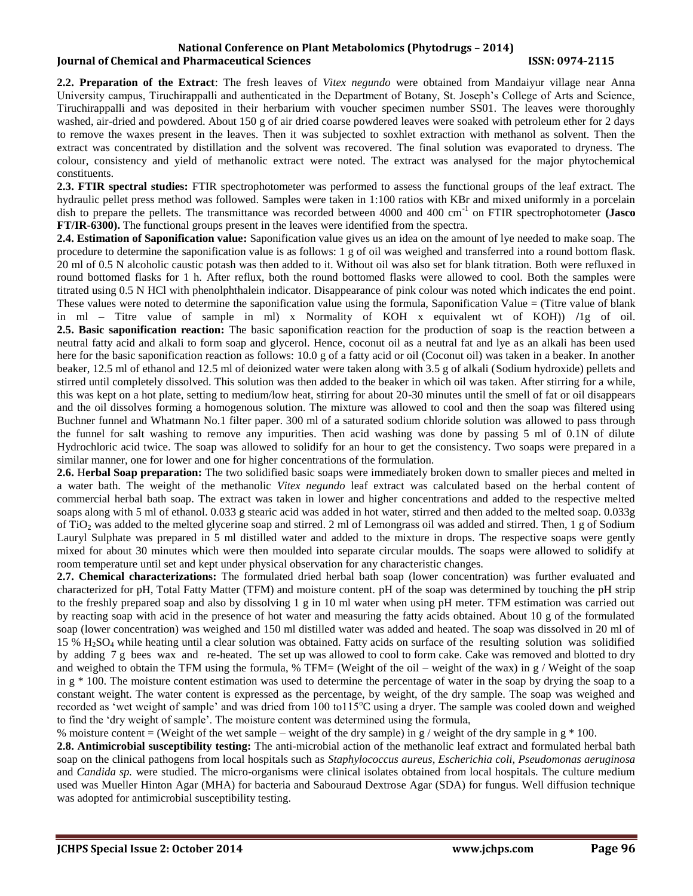**2.2. Preparation of the Extract**: The fresh leaves of *Vitex negundo* were obtained from Mandaiyur village near Anna University campus, Tiruchirappalli and authenticated in the Department of Botany, St. Joseph's College of Arts and Science, Tiruchirappalli and was deposited in their herbarium with voucher specimen number SS01. The leaves were thoroughly washed, air-dried and powdered. About 150 g of air dried coarse powdered leaves were soaked with petroleum ether for 2 days to remove the waxes present in the leaves. Then it was subjected to soxhlet extraction with methanol as solvent. Then the extract was concentrated by distillation and the solvent was recovered. The final solution was evaporated to dryness. The colour, consistency and yield of methanolic extract were noted. The extract was analysed for the major phytochemical constituents.

**2.3. FTIR spectral studies:** FTIR spectrophotometer was performed to assess the functional groups of the leaf extract. The hydraulic pellet press method was followed. Samples were taken in 1:100 ratios with KBr and mixed uniformly in a porcelain dish to prepare the pellets. The transmittance was recorded between 4000 and 400 cm<sup>-1</sup> on FTIR spectrophotometer (Jasco **FT/IR-6300).** The functional groups present in the leaves were identified from the spectra.

**2.4. Estimation of Saponification value:** Saponification value gives us an idea on the amount of lye needed to make soap. The procedure to determine the saponification value is as follows: 1 g of oil was weighed and transferred into a round bottom flask. 20 ml of 0.5 N alcoholic caustic potash was then added to it. Without oil was also set for blank titration. Both were refluxed in round bottomed flasks for 1 h. After reflux, both the round bottomed flasks were allowed to cool. Both the samples were titrated using 0.5 N HCl with phenolphthalein indicator. Disappearance of pink colour was noted which indicates the end point. These values were noted to determine the saponification value using the formula, Saponification Value  $=$  (Titre value of blank in ml – Titre value of sample in ml) x Normality of KOH x equivalent wt of KOH)) **/**1g of oil. **2.5. Basic saponification reaction:** The basic saponification reaction for the production of soap is the reaction between a neutral fatty acid and alkali to form soap and glycerol. Hence, coconut oil as a neutral fat and lye as an alkali has been used here for the basic saponification reaction as follows: 10.0 g of a fatty acid or oil (Coconut oil) was taken in a beaker. In another beaker, 12.5 ml of ethanol and 12.5 ml of deionized water were taken along with 3.5 g of alkali (Sodium hydroxide) pellets and stirred until completely dissolved. This solution was then added to the beaker in which oil was taken. After stirring for a while, this was kept on a hot plate, setting to medium/low heat, stirring for about 20-30 minutes until the smell of fat or oil disappears and the oil dissolves forming a homogenous solution. The mixture was allowed to cool and then the soap was filtered using Buchner funnel and Whatmann No.1 filter paper. 300 ml of a saturated sodium chloride solution was allowed to pass through the funnel for salt washing to remove any impurities. Then acid washing was done by passing 5 ml of 0.1N of dilute Hydrochloric acid twice. The soap was allowed to solidify for an hour to get the consistency. Two soaps were prepared in a similar manner, one for lower and one for higher concentrations of the formulation.

**2.6.** H**erbal Soap preparation:** The two solidified basic soaps were immediately broken down to smaller pieces and melted in a water bath. The weight of the methanolic *Vitex negundo* leaf extract was calculated based on the herbal content of commercial herbal bath soap. The extract was taken in lower and higher concentrations and added to the respective melted soaps along with 5 ml of ethanol. 0.033 g stearic acid was added in hot water, stirred and then added to the melted soap. 0.033g of TiO<sup>2</sup> was added to the melted glycerine soap and stirred. 2 ml of Lemongrass oil was added and stirred. Then, 1 g of Sodium Lauryl Sulphate was prepared in 5 ml distilled water and added to the mixture in drops. The respective soaps were gently mixed for about 30 minutes which were then moulded into separate circular moulds. The soaps were allowed to solidify at room temperature until set and kept under physical observation for any characteristic changes.

**2.7. Chemical characterizations:** The formulated dried herbal bath soap (lower concentration) was further evaluated and characterized for pH, Total Fatty Matter (TFM) and moisture content. pH of the soap was determined by touching the pH strip to the freshly prepared soap and also by dissolving 1 g in 10 ml water when using pH meter. TFM estimation was carried out by reacting soap with acid in the presence of hot water and measuring the fatty acids obtained. About 10 g of the formulated soap (lower concentration) was weighed and 150 ml distilled water was added and heated. The soap was dissolved in 20 ml of 15 %  $H<sub>2</sub>SO<sub>4</sub>$  while heating until a clear solution was obtained. Fatty acids on surface of the resulting solution was solidified by adding 7 g bees wax and re-heated. The set up was allowed to cool to form cake. Cake was removed and blotted to dry and weighed to obtain the TFM using the formula,  $%$  TFM= (Weight of the oil – weight of the wax) in g / Weight of the soap in  $g * 100$ . The moisture content estimation was used to determine the percentage of water in the soap by drying the soap to a constant weight. The water content is expressed as the percentage, by weight, of the dry sample. The soap was weighed and recorded as 'wet weight of sample' and was dried from 100 to115<sup>o</sup>C using a dryer. The sample was cooled down and weighed to find the 'dry weight of sample'. The moisture content was determined using the formula,

% moisture content = (Weight of the wet sample – weight of the dry sample) in g / weight of the dry sample in g  $*$  100.

**2.8. Antimicrobial susceptibility testing:** The anti-microbial action of the methanolic leaf extract and formulated herbal bath soap on the clinical pathogens from local hospitals such as *Staphylococcus aureus, Escherichia coli, Pseudomonas aeruginosa* and *Candida sp.* were studied. The micro-organisms were clinical isolates obtained from local hospitals. The culture medium used was Mueller Hinton Agar (MHA) for bacteria and Sabouraud Dextrose Agar (SDA) for fungus. Well diffusion technique was adopted for antimicrobial susceptibility testing.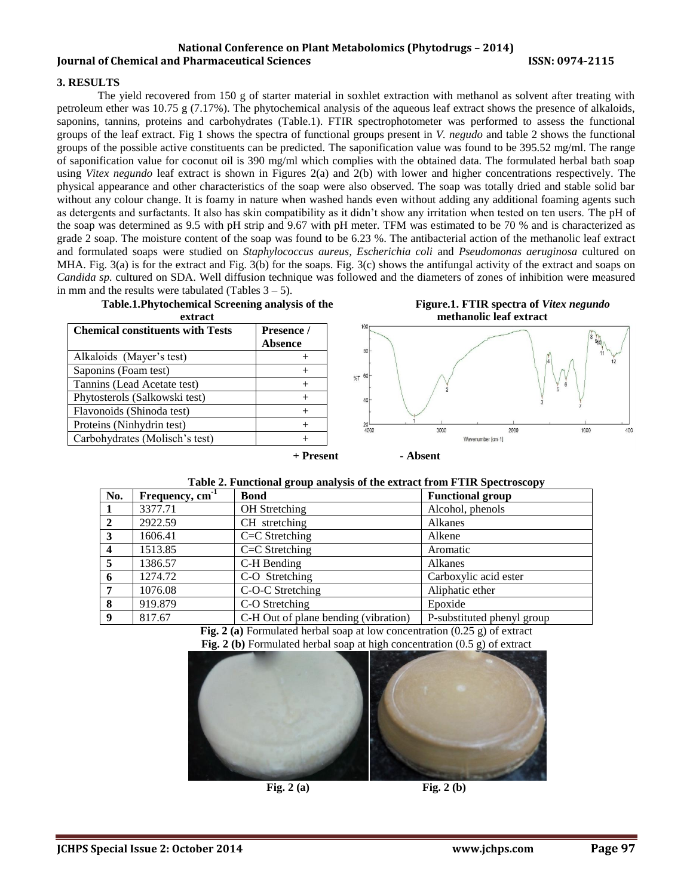#### **3. RESULTS**

The yield recovered from 150 g of starter material in soxhlet extraction with methanol as solvent after treating with petroleum ether was 10.75 g (7.17%). The phytochemical analysis of the aqueous leaf extract shows the presence of alkaloids, saponins, tannins, proteins and carbohydrates (Table.1). FTIR spectrophotometer was performed to assess the functional groups of the leaf extract. Fig 1 shows the spectra of functional groups present in *V. negudo* and table 2 shows the functional groups of the possible active constituents can be predicted. The saponification value was found to be 395.52 mg/ml. The range of saponification value for coconut oil is 390 mg/ml which complies with the obtained data. The formulated herbal bath soap using *Vitex negundo* leaf extract is shown in Figures 2(a) and 2(b) with lower and higher concentrations respectively. The physical appearance and other characteristics of the soap were also observed. The soap was totally dried and stable solid bar without any colour change. It is foamy in nature when washed hands even without adding any additional foaming agents such as detergents and surfactants. It also has skin compatibility as it didn't show any irritation when tested on ten users. The pH of the soap was determined as 9.5 with pH strip and 9.67 with pH meter. TFM was estimated to be 70 % and is characterized as grade 2 soap. The moisture content of the soap was found to be 6.23 %. The antibacterial action of the methanolic leaf extract and formulated soaps were studied on *Staphylococcus aureus, Escherichia coli* and *Pseudomonas aeruginosa* cultured on MHA. Fig. 3(a) is for the extract and Fig. 3(b) for the soaps. Fig. 3(c) shows the antifungal activity of the extract and soaps on *Candida sp.* cultured on SDA. Well diffusion technique was followed and the diameters of zones of inhibition were measured in mm and the results were tabulated (Tables  $3 - 5$ ).



**Figure.1. FTIR spectra of** *Vitex negundo*  **methanolic leaf extract**



|  |  |  |  | Table 2. Functional group analysis of the extract from FTIR Spectroscopy |
|--|--|--|--|--------------------------------------------------------------------------|
|--|--|--|--|--------------------------------------------------------------------------|

| No.                     | Frequency, $cm^{-1}$ | <b>Bond</b>                          | <b>Functional group</b>    |  |  |
|-------------------------|----------------------|--------------------------------------|----------------------------|--|--|
|                         | 3377.71              | OH Stretching                        | Alcohol, phenols           |  |  |
| $\mathbf{2}$            | 2922.59              | CH stretching                        | Alkanes                    |  |  |
| -3                      | 1606.41              | $C=C$ Stretching                     | Alkene                     |  |  |
| $\overline{\mathbf{4}}$ | 1513.85              | $C=C$ Stretching                     | Aromatic                   |  |  |
| -5                      | 1386.57              | C-H Bending                          | Alkanes                    |  |  |
| -6                      | 1274.72              | C-O Stretching                       | Carboxylic acid ester      |  |  |
| 7                       | 1076.08              | C-O-C Stretching                     | Aliphatic ether            |  |  |
| -8                      | 919.879              | C-O Stretching                       | Epoxide                    |  |  |
| -9                      | 817.67               | C-H Out of plane bending (vibration) | P-substituted phenyl group |  |  |

**Fig. 2 (a)** Formulated herbal soap at low concentration (0.25 g) of extract

**Fig. 2 (b)** Formulated herbal soap at high concentration (0.5 g) of extract

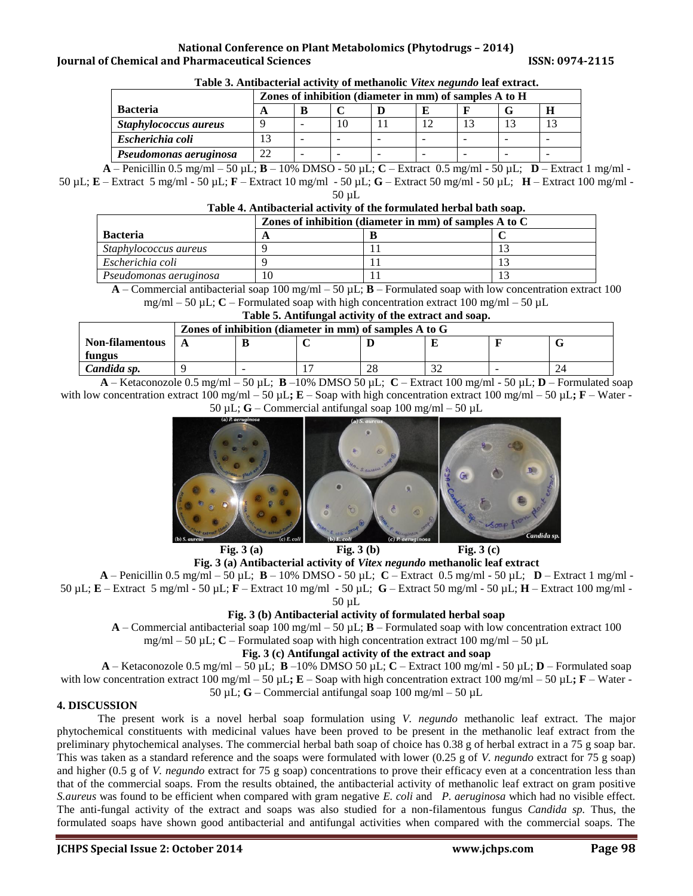|                        | Zones of inhibition (diameter in mm) of samples A to H |   |    |  |  |  |  |
|------------------------|--------------------------------------------------------|---|----|--|--|--|--|
| <b>Bacteria</b>        | A                                                      |   |    |  |  |  |  |
| Staphylococcus aureus  |                                                        |   | 10 |  |  |  |  |
| Escherichia coli       |                                                        | - |    |  |  |  |  |
| Pseudomonas aeruginosa | $\gamma$                                               | - |    |  |  |  |  |

# **Table 3. Antibacterial activity of methanolic** *Vitex negundo* **leaf extract.**

**A** – Penicillin 0.5 mg/ml – 50 µL; **B** – 10% DMSO - 50 µL; **C** – Extract 0.5 mg/ml - 50 µL; **D** – Extract 1 mg/ml - 50 µL; **E** – Extract 5 mg/ml - 50 µL; **F** – Extract 10 mg/ml - 50 µL; **G** – Extract 50 mg/ml - 50 µL; **H** – Extract 100 mg/ml - 50 µL

# **Table 4. Antibacterial activity of the formulated herbal bath soap.**

|                        | Zones of inhibition (diameter in mm) of samples A to C |  |  |  |  |
|------------------------|--------------------------------------------------------|--|--|--|--|
| <b>Bacteria</b>        |                                                        |  |  |  |  |
| Staphylococcus aureus  |                                                        |  |  |  |  |
| Escherichia coli       |                                                        |  |  |  |  |
| Pseudomonas aeruginosa |                                                        |  |  |  |  |

 $\bf{A}$  – Commercial antibacterial soap 100 mg/ml – 50  $\mu$ L;  $\bf{B}$  – Formulated soap with low concentration extract 100  $mg/ml - 50 \mu L$ ; **C** – Formulated soap with high concentration extract 100 mg/ml – 50  $\mu L$ 

| Table 5. Antifungal activity of the extract and soap. |  |
|-------------------------------------------------------|--|
|                                                       |  |

|                                                                                                                                                                                                                                                                                                                                                                   | Zones of inhibition (diameter in mm) of samples A to G |                          |  |    |  |  |  |
|-------------------------------------------------------------------------------------------------------------------------------------------------------------------------------------------------------------------------------------------------------------------------------------------------------------------------------------------------------------------|--------------------------------------------------------|--------------------------|--|----|--|--|--|
| Non-filamentous                                                                                                                                                                                                                                                                                                                                                   |                                                        |                          |  |    |  |  |  |
| fungus                                                                                                                                                                                                                                                                                                                                                            |                                                        |                          |  |    |  |  |  |
| Candida sp.                                                                                                                                                                                                                                                                                                                                                       |                                                        | $\overline{\phantom{a}}$ |  | 28 |  |  |  |
| $\mathbb{R}^n$ is a set $\mathbb{R}^n$ is $\mathbb{R}^n$ if $\mathbb{R}^n$ is a set of $\mathbb{R}^n$ is a set of $\mathbb{R}^n$ is a set of $\mathbb{R}^n$ is a set of $\mathbb{R}^n$ is a set of $\mathbb{R}^n$ is a set of $\mathbb{R}^n$ is a set of $\mathbb{R}^n$ i<br>$\mathbf{r}$ and $\mathbf{r}$<br>$\sim$ $\sim$ $\sim$<br>$\sim$ $\sim$ $\sim$ $\sim$ |                                                        |                          |  |    |  |  |  |

**A** – Ketaconozole 0.5 mg/ml – 50 µL; **B** –10% DMSO 50 µL; **C** – Extract 100 mg/ml - 50 µL; **D** – Formulated soap with low concentration extract 100 mg/ml – 50  $\mu$ **L**; **E** – Soap with high concentration extract 100 mg/ml – 50  $\mu$ **L**; **F** – Water -50 µL; **G** – Commercial antifungal soap 100 mg/ml – 50 µL



**Fig. 3 (a) Fig. 3 (b) Fig. 3 (c)** 

# **Fig. 3 (a) Antibacterial activity of** *Vitex negundo* **methanolic leaf extract**

 $\bf{A}$  – Penicillin 0.5 mg/ml – 50  $\mu$ L;  $\bf{B}$  – 10% DMSO - 50  $\mu$ L;  $\bf{C}$  – Extract 0.5 mg/ml - 50  $\mu$ L;  $\bf{D}$  – Extract 1 mg/ml -50 µL; **E** – Extract 5 mg/ml - 50 µL; **F** – Extract 10 mg/ml - 50 µL; **G** – Extract 50 mg/ml - 50 µL; **H** – Extract 100 mg/ml -

50 µL

# **Fig. 3 (b) Antibacterial activity of formulated herbal soap**

**A** – Commercial antibacterial soap 100 mg/ml – 50 µL; **B** – Formulated soap with low concentration extract 100

mg/ml – 50  $\mu$ L; **C** – Formulated soap with high concentration extract 100 mg/ml – 50  $\mu$ L

# **Fig. 3 (c) Antifungal activity of the extract and soap**

**A** – Ketaconozole 0.5 mg/ml – 50 µL; **B** –10% DMSO 50 µL; **C** – Extract 100 mg/ml - 50 µL; **D** – Formulated soap with low concentration extract 100 mg/ml – 50  $\mu$ **L; E** – Soap with high concentration extract 100 mg/ml – 50  $\mu$ **L; F** – Water -50 µL; **G** – Commercial antifungal soap 100 mg/ml – 50 µL

# **4. DISCUSSION**

The present work is a novel herbal soap formulation using *V. negundo* methanolic leaf extract. The major phytochemical constituents with medicinal values have been proved to be present in the methanolic leaf extract from the preliminary phytochemical analyses. The commercial herbal bath soap of choice has 0.38 g of herbal extract in a 75 g soap bar. This was taken as a standard reference and the soaps were formulated with lower (0.25 g of *V. negundo* extract for 75 g soap) and higher (0.5 g of *V. negundo* extract for 75 g soap) concentrations to prove their efficacy even at a concentration less than that of the commercial soaps. From the results obtained, the antibacterial activity of methanolic leaf extract on gram positive *S.aureus* was found to be efficient when compared with gram negative *E. coli* and *P. aeruginosa* which had no visible effect*.* The anti-fungal activity of the extract and soaps was also studied for a non-filamentous fungus *Candida sp.* Thus, the formulated soaps have shown good antibacterial and antifungal activities when compared with the commercial soaps. The